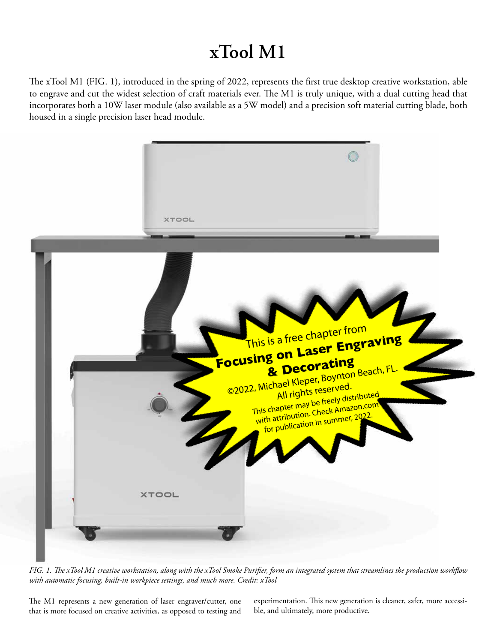# **xTool M1**

The xTool M1 (FIG. 1), introduced in the spring of 2022, represents the first true desktop creative workstation, able to engrave and cut the widest selection of craft materials ever. The M1 is truly unique, with a dual cutting head that incorporates both a 10W laser module (also available as a 5W model) and a precision soft material cutting blade, both housed in a single precision laser head module.



*FIG. 1. The xTool M1 creative workstation, along with the xTool Smoke Purifier, form an integrated system that streamlines the production workflow with automatic focusing, built-in workpiece settings, and much more. Credit: xTool*

The M1 represents a new generation of laser engraver/cutter, one that is more focused on creative activities, as opposed to testing and experimentation. This new generation is cleaner, safer, more accessible, and ultimately, more productive.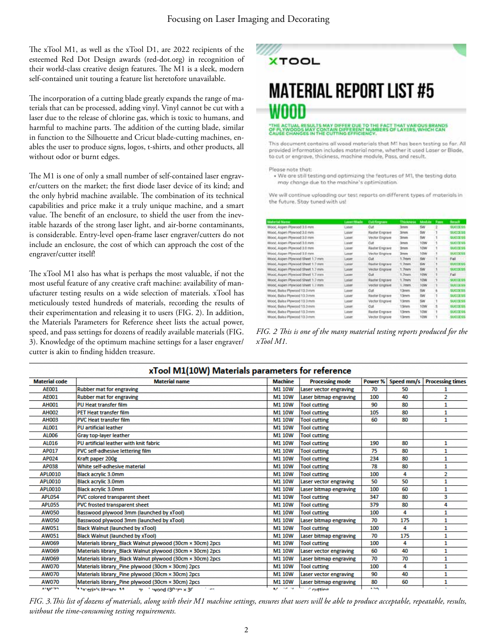The xTool M1, as well as the xTool D1, are 2022 recipients of the esteemed Red Dot Design awards (red-dot.org) in recognition of their world-class creative design features. The M1 is a sleek, modern self-contained unit touting a feature list heretofore unavailable.

The incorporation of a cutting blade greatly expands the range of materials that can be processed, adding vinyl. Vinyl cannot be cut with a laser due to the release of chlorine gas, which is toxic to humans, and harmful to machine parts. The addition of the cutting blade, similar in function to the Silhouette and Cricut blade-cutting machines, enables the user to produce signs, logos, t-shirts, and other products, all without odor or burnt edges.

The M1 is one of only a small number of self-contained laser engraver/cutters on the market; the first diode laser device of its kind; and the only hybrid machine available. The combination of its technical capabilities and price make it a truly unique machine, and a smart value. The benefit of an enclosure, to shield the user from the inevitable hazards of the strong laser light, and air-borne contaminants, is considerable. Entry-level open-frame laser engraver/cutters do not include an enclosure, the cost of which can approach the cost of the engraver/cutter itself!

The xTool M1 also has what is perhaps the most valuable, if not the most useful feature of any creative craft machine: availability of manufacturer testing results on a wide selection of materials. xTool has meticulously tested hundreds of materials, recording the results of their experimentation and releasing it to users (FIG. 2). In addition, the Materials Parameters for Reference sheet lists the actual power, speed, and pass settings for dozens of readily available materials (FIG. 3). Knowledge of the optimum machine settings for a laser engraver/ cutter is akin to finding hidden treasure.



# **MATERIAL REPORT LIST #5** WOOD

#### I DUE TO THE FACT THAT VARIOUS BRANDS<br>ERENT NUMBERS OF LAYERS, WHICH CAN ONTAIN DIFF

This decument contains all wood materials that M1 has been testing so far. All provided information includes material name, whether it used Laser or Blade, to cut or engrave, thickness, machine module, Pass, and result.

Please note that:

. We are still testing and optimizing the features of M1, the testing data may change due to the machine's optimization

We will continue uploading our test reports on different types of materials in the future. Stay tuned with us!

| <b>Material Name</b>               | Laser/Blade | Culiforpert    | Thickness         | Module         | Pass | Renaff           |
|------------------------------------|-------------|----------------|-------------------|----------------|------|------------------|
| Wood, Aspen Plywood 3.5 mm         | Laner       | Cut            | <b>Jymm</b>       | 5W             |      | <b>BUCCESS</b>   |
| Wood, Alupen Physrood 3.0 mm       | Lister      | Raster Engrave | <b>Simm</b>       | 5W             |      | <b>SUCCESS</b>   |
| Wood, Aspen Physiod 3.8 mm         | Laser:      | Vector Engrave | Sysum             | 5W             |      | <b>BUCCE SS</b>  |
| Wood, Asipin Physocid 3.5 mm.      | Laser       | Cut            | <b>Jynes</b>      | 10W            |      | SUCCESS.         |
| Wood, Aspen Plywood 3.0 mm         | Laser       | Raster Engrave | <b>Zerven</b>     | 10W            |      | <b>BUOCESS</b>   |
| Wood, Aspen Plywood 1.8 mm.        | Laser       | Vector Engisye | <b>Jimm</b>       | 10W            |      | <b>BUCCESS</b>   |
| Wood, Aspen Plywood Sheet 1.7 mm   | Laser       | Cut.           | 1.7 <sub>mm</sub> | 5W             |      | Fail             |
| Wood, Aspen Plywood Cheef 1.7 mm.  | Laper       | Ractet Engrave | 1.7mm             | <b>SW</b>      |      | <b>DUODESS</b>   |
| Wood, Aspen Plywood Sheet 1.7 mm   | Laser       | Vector Engrave | 1.7mm             | SW <sub></sub> |      | <b>GUIDDE SS</b> |
| Wuod, Aspen Physical Sheet 1.7 mm  | Laser       | Cult           | 1.7mm             | 10W            |      | <b>Tail</b>      |
| Wood, Aspen Plywood Sheet 1.7 mm   | Laner       | Raster Engrave | 1.7mm             | 10W            |      | SUCCESS.         |
| Viced, Aspin Plywood Sheet 1.7 mm. | Litter.     | Vector Engrave | L7mm              | 10W            |      | <b>WIDGESS</b>   |
| Wood, Balsa Plywood 13.0 mm        | Laner       | Cuft           | 13mm              | 5W             |      | <b>INJOIN 55</b> |
| Wood, Balsa Plywood 13.0 mm        | Laser       | Raster Engrave | 13mm              | 5W             |      | SUCCE 55         |
| Wood, Balsa Plywood 13.0 mm        | Laser       | Vector Engrave | 13mm              | SW             |      | 53805555         |
| Wood, Balsa Plywood 13.0 mm        | Laser       | Cul            | 13mm              | 10W            |      | <b>BUCCESS</b>   |
| Wood, Balsa Plywood 13.0 mm.       | Laser       | Raster Engrave | 13mm              | 10W            |      | <b>BUCCESS</b>   |
| Wood, Balsa Plywood 13.0 mm.       | Laser       | Vector Engrave | 13mm              | <b>TOW</b>     |      | <b>INDOESS</b>   |

*FIG. 2 This is one of the many material testing reports produced for the xTool M1.*

| x1ool M1(10W) Materials parameters for reference |                                                              |                   |                               |            |            |                         |  |  |
|--------------------------------------------------|--------------------------------------------------------------|-------------------|-------------------------------|------------|------------|-------------------------|--|--|
| <b>Material code</b>                             | <b>Material name</b>                                         | <b>Machine</b>    | <b>Processing mode</b>        | Power %    | Speed mm/s | <b>Processing times</b> |  |  |
| <b>AE001</b>                                     | <b>Rubber mat for engraving</b>                              | M1 10W            | <b>Laser vector engraving</b> | 70         | 50         |                         |  |  |
| <b>AE001</b>                                     | <b>Rubber mat for engraving</b>                              | <b>M1 10W</b>     | Laser bitmap engraving        | 100        | 40         | 2                       |  |  |
| <b>AH001</b>                                     | <b>PU Heat transfer film</b>                                 | <b>M1 10W</b>     | <b>Tool cutting</b>           | 90         | 80         |                         |  |  |
| <b>AH002</b>                                     | <b>PET Heat transfer film</b>                                | <b>M1 10W</b>     | <b>Tool cutting</b>           | 105        | 80         | 1                       |  |  |
| <b>AH003</b>                                     | <b>PVC Heat transfer film</b>                                | M1 10W            | <b>Tool cutting</b>           | 60         | 80         | 1                       |  |  |
| AL001                                            | <b>PU</b> artificial leather                                 | M1 10W            | <b>Tool cutting</b>           |            |            |                         |  |  |
| AL006                                            | <b>Gray top-layer leather</b>                                | M1 10W            | <b>Tool cutting</b>           |            |            |                         |  |  |
| AL016                                            | PU artificial leather with knit fabric                       | M1 10W            | <b>Tool cutting</b>           | 190        | 80         | 1                       |  |  |
| AP017                                            | PVC self-adhesive lettering film                             | M1 10W            | <b>Tool cutting</b>           | 75         | 80         | 1                       |  |  |
| AP024                                            | Kraft paper 200g                                             | <b>M1 10W</b>     | <b>Tool cutting</b>           | 234        | 80         |                         |  |  |
| AP038                                            | White self-adhesive material                                 | M1 10W            | <b>Tool cutting</b>           | 78         | 80         |                         |  |  |
| <b>APL0010</b>                                   | <b>Black acrylic 3.0mm</b>                                   | M1 10W            | <b>Tool cutting</b>           | 100        | 4          | 2                       |  |  |
| <b>APL0010</b>                                   | <b>Black acrylic 3.0mm</b>                                   | M1 10W            | Laser vector engraving        | 50         | 50         |                         |  |  |
| APL0010                                          | <b>Black acrylic 3.0mm</b>                                   | M1 10W            | Laser bitmap engraving        | 100        | 60         | 1                       |  |  |
| <b>APL054</b>                                    | <b>PVC colored transparent sheet</b>                         | <b>M1 10W</b>     | <b>Tool cutting</b>           | 347        | 80         | 3                       |  |  |
| <b>APL055</b>                                    | <b>PVC frosted transparent sheet</b>                         | <b>M110W</b>      | <b>Tool cutting</b>           | 379        | 80         | 4                       |  |  |
| AW050                                            | Basswood plywood 3mm (launched by xTool)                     | M1 10W            | <b>Tool cutting</b>           | 100        | 4          |                         |  |  |
| AW050                                            | Basswood plywood 3mm (launched by xTool)                     | M1 10W            | Laser bitmap engraving        | 70         | 175        |                         |  |  |
| AW051                                            | <b>Black Walnut (launched by xTool)</b>                      | M1 10W            | <b>Tool cutting</b>           | 100        | 4          |                         |  |  |
| AW051                                            | <b>Black Walnut (launched by xTool)</b>                      | M1 10W            | Laser bitmap engraving        | 70         | 175        |                         |  |  |
| AW069                                            | Materials library_Black Walnut plywood (30cm × 30cm) 2pcs    | M1 10W            | <b>Tool cutting</b>           | 100        | 4          |                         |  |  |
| AW069                                            | Materials library Black Walnut plywood (30cm × 30cm) 2pcs    | <b>M1 10W</b>     | Laser vector engraving        | 60         | 40         | 1                       |  |  |
| AW069                                            | Materials library Black Walnut plywood (30cm × 30cm) 2pcs    | <b>M1 10W</b>     | Laser bitmap engraving        | 70         | 70         | 1                       |  |  |
| <b>AW070</b>                                     | Materials library Pine plywood (30cm × 30cm) 2pcs            | M1 10W            | <b>Tool cutting</b>           | 100        | 4          | 1                       |  |  |
| AW070                                            | Materials library_Pine plywood (30cm × 30cm) 2pcs            | M1 10W            | <b>Laser vector engraving</b> | 90         | 40         | 1                       |  |  |
| AW070                                            | Materials library_Pine plywood (30cm × 30cm) 2pcs            | <b>M1 10W</b>     | Laser bitmap engraving        | 80         | 60         |                         |  |  |
| ALLIC 70                                         | Manarials library, Mr. 1. mu. 1. sugged (20 cm x 20 cm cm cm | Maria Maria Maria | <b>Securiting</b>             | <b>ACT</b> |            |                         |  |  |

. . . . . . . . . . . .

*FIG. 3.This list of dozens of materials, along with their M1 machine settings, ensures that users will be able to produce acceptable, repeatable, results, without the time-consuming testing requirements.*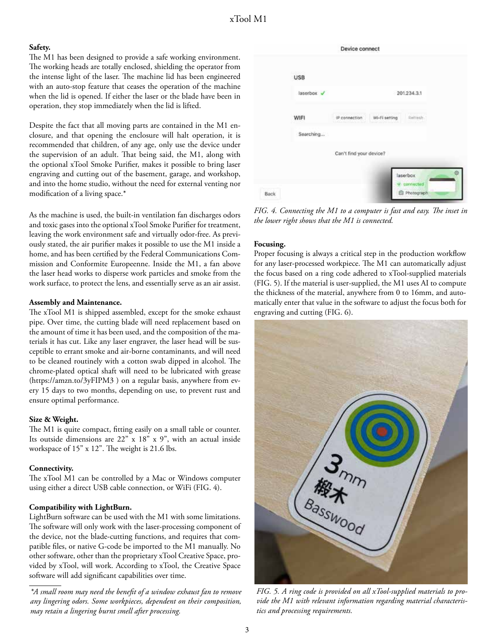#### **Safety.**

The M1 has been designed to provide a safe working environment. The working heads are totally enclosed, shielding the operator from the intense light of the laser. The machine lid has been engineered with an auto-stop feature that ceases the operation of the machine when the lid is opened. If either the laser or the blade have been in operation, they stop immediately when the lid is lifted.

Despite the fact that all moving parts are contained in the M1 enclosure, and that opening the enclosure will halt operation, it is recommended that children, of any age, only use the device under the supervision of an adult. That being said, the M1, along with the optional xTool Smoke Purifier, makes it possible to bring laser engraving and cutting out of the basement, garage, and workshop, and into the home studio, without the need for external venting nor modification of a living space.\*

As the machine is used, the built-in ventilation fan discharges odors and toxic gases into the optional xTool Smoke Purifier for treatment, leaving the work environment safe and virtually odor-free. As previously stated, the air purifier makes it possible to use the M1 inside a home, and has been certified by the Federal Communications Commission and Conformite Europeenne. Inside the M1, a fan above the laser head works to disperse work particles and smoke from the work surface, to protect the lens, and essentially serve as an air assist.

#### **Assembly and Maintenance.**

The xTool M1 is shipped assembled, except for the smoke exhaust pipe. Over time, the cutting blade will need replacement based on the amount of time it has been used, and the composition of the materials it has cut. Like any laser engraver, the laser head will be susceptible to errant smoke and air-borne contaminants, and will need to be cleaned routinely with a cotton swab dipped in alcohol. The chrome-plated optical shaft will need to be lubricated with grease (https://amzn.to/3yFIPM3 ) on a regular basis, anywhere from every 15 days to two months, depending on use, to prevent rust and ensure optimal performance.

#### **Size & Weight.**

The M1 is quite compact, fitting easily on a small table or counter. Its outside dimensions are 22" x 18" x 9", with an actual inside workspace of 15" x 12". The weight is 21.6 lbs.

#### **Connectivity.**

The xTool M1 can be controlled by a Mac or Windows computer using either a direct USB cable connection, or WiFi (FIG. 4).

#### **Compatibility with LightBurn.**

LightBurn software can be used with the M1 with some limitations. The software will only work with the laser-processing component of the device, not the blade-cutting functions, and requires that compatible files, or native G-code be imported to the M1 manually. No other software, other than the proprietary xTool Creative Space, provided by xTool, will work. According to xTool, the Creative Space software will add significant capabilities over time.



*FIG. 4. Connecting the M1 to a computer is fast and easy. The inset in the lower right shows that the M1 is connected.*

#### **Focusing.**

Proper focusing is always a critical step in the production workflow for any laser-processed workpiece. The M1 can automatically adjust the focus based on a ring code adhered to xTool-supplied materials (FIG. 5). If the material is user-supplied, the M1 uses AI to compute the thickness of the material, anywhere from 0 to 16mm, and automatically enter that value in the software to adjust the focus both for engraving and cutting (FIG. 6).



*FIG. 5. A ring code is provided on all xTool-supplied materials to provide the M1 with relevant information regarding material characteristics and processing requirements.*

*<sup>\*</sup>A small room may need the benefit of a window exhaust fan to remove any lingering odors. Some workpieces, dependent on their composition, may retain a lingering burnt smell after processing.*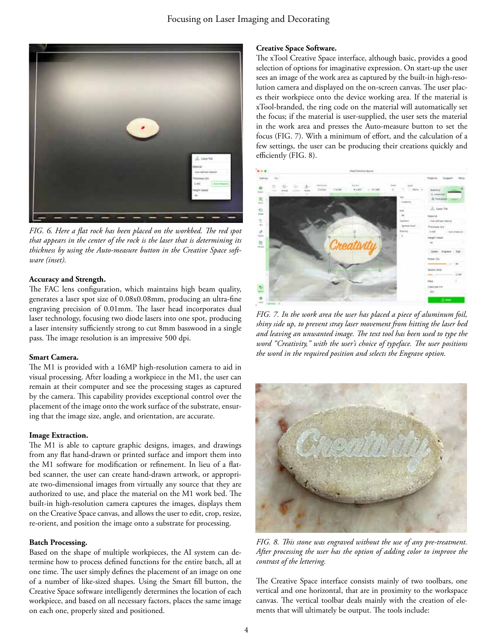

*FIG. 6. Here a flat rock has been placed on the workbed. The red spot that appears in the center of the rock is the laser that is determining its thickness by using the Auto-measure button in the Creative Space software (inset).*

#### **Accuracy and Strength.**

The FAC lens configuration, which maintains high beam quality, generates a laser spot size of 0.08x0.08mm, producing an ultra-fine engraving precision of 0.01mm. The laser head incorporates dual laser technology, focusing two diode lasers into one spot, producing a laser intensity sufficiently strong to cut 8mm basswood in a single pass. The image resolution is an impressive 500 dpi.

#### **Smart Camera.**

The M1 is provided with a 16MP high-resolution camera to aid in visual processing. After loading a workpiece in the M1, the user can remain at their computer and see the processing stages as captured by the camera. This capability provides exceptional control over the placement of the image onto the work surface of the substrate, ensuring that the image size, angle, and orientation, are accurate.

#### **Image Extraction.**

The M1 is able to capture graphic designs, images, and drawings from any flat hand-drawn or printed surface and import them into the M1 software for modification or refinement. In lieu of a flatbed scanner, the user can create hand-drawn artwork, or appropriate two-dimensional images from virtually any source that they are authorized to use, and place the material on the M1 work bed. The built-in high-resolution camera captures the images, displays them on the Creative Space canvas, and allows the user to edit, crop, resize, re-orient, and position the image onto a substrate for processing.

#### **Batch Processing.**

Based on the shape of multiple workpieces, the AI system can determine how to process defined functions for the entire batch, all at one time. The user simply defines the placement of an image on one of a number of like-sized shapes. Using the Smart fill button, the Creative Space software intelligently determines the location of each workpiece, and based on all necessary factors, places the same image on each one, properly sized and positioned.

#### **Creative Space Software.**

The xTool Creative Space interface, although basic, provides a good selection of options for imaginative expression. On start-up the user sees an image of the work area as captured by the built-in high-resolution camera and displayed on the on-screen canvas. The user places their workpiece onto the device working area. If the material is xTool-branded, the ring code on the material will automatically set the focus; if the material is user-supplied, the user sets the material in the work area and presses the Auto-measure button to set the focus (FIG. 7). With a minimum of effort, and the calculation of a few settings, the user can be producing their creations quickly and efficiently (FIG. 8).



*FIG. 7. In the work area the user has placed a piece of aluminum foil, shiny side up, to prevent stray laser movement from hitting the laser bed and leaving an unwanted image. The text tool has been used to type the word "Creativity," with the user's choice of typeface. The user positions the word in the required position and selects the Engrave option.* 



*FIG. 8. This stone was engraved without the use of any pre-treatment. After processing the user has the option of adding color to improve the contrast of the lettering.*

The Creative Space interface consists mainly of two toolbars, one vertical and one horizontal, that are in proximity to the workspace canvas. The vertical toolbar deals mainly with the creation of elements that will ultimately be output. The tools include: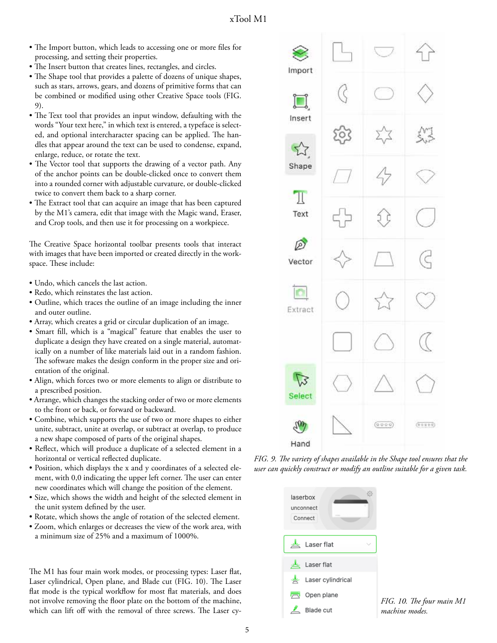- The Import button, which leads to accessing one or more files for processing, and setting their properties.
- The Insert button that creates lines, rectangles, and circles.
- The Shape tool that provides a palette of dozens of unique shapes, such as stars, arrows, gears, and dozens of primitive forms that can be combined or modified using other Creative Space tools (FIG. 9).
- The Text tool that provides an input window, defaulting with the words "Your text here," in which text is entered, a typeface is selected, and optional intercharacter spacing can be applied. The handles that appear around the text can be used to condense, expand, enlarge, reduce, or rotate the text.
- The Vector tool that supports the drawing of a vector path. Any of the anchor points can be double-clicked once to convert them into a rounded corner with adjustable curvature, or double-clicked twice to convert them back to a sharp corner.
- The Extract tool that can acquire an image that has been captured by the M1's camera, edit that image with the Magic wand, Eraser, and Crop tools, and then use it for processing on a workpiece.

The Creative Space horizontal toolbar presents tools that interact with images that have been imported or created directly in the workspace. These include:

- Undo, which cancels the last action.
- Redo, which reinstates the last action.
- Outline, which traces the outline of an image including the inner and outer outline.
- Array, which creates a grid or circular duplication of an image.
- Smart fill, which is a "magical" feature that enables the user to duplicate a design they have created on a single material, automatically on a number of like materials laid out in a random fashion. The software makes the design conform in the proper size and orientation of the original.
- Align, which forces two or more elements to align or distribute to a prescribed position.
- Arrange, which changes the stacking order of two or more elements to the front or back, or forward or backward.
- Combine, which supports the use of two or more shapes to either unite, subtract, unite at overlap, or subtract at overlap, to produce a new shape composed of parts of the original shapes.
- Reflect, which will produce a duplicate of a selected element in a horizontal or vertical reflected duplicate.
- Position, which displays the x and y coordinates of a selected element, with 0,0 indicating the upper left corner. The user can enter new coordinates which will change the position of the element.
- Size, which shows the width and height of the selected element in the unit system defined by the user.
- Rotate, which shows the angle of rotation of the selected element.
- Zoom, which enlarges or decreases the view of the work area, with a minimum size of 25% and a maximum of 1000%.

The M1 has four main work modes, or processing types: Laser flat, Laser cylindrical, Open plane, and Blade cut (FIG. 10). The Laser flat mode is the typical workflow for most flat materials, and does not involve removing the floor plate on the bottom of the machine, which can lift off with the removal of three screws. The Laser cy-



*FIG. 9. The variety of shapes available in the Shape tool ensures that the user can quickly construct or modify an outline suitable for a given task.*

| laserbox<br>unconnect<br>Connect |  |  |
|----------------------------------|--|--|
| Laser flat                       |  |  |
| Laser flat                       |  |  |
| Laser cylindrical                |  |  |
| Open plane<br>穴                  |  |  |
| Blade cut                        |  |  |

*FIG. 10. The four main M1 machine modes.*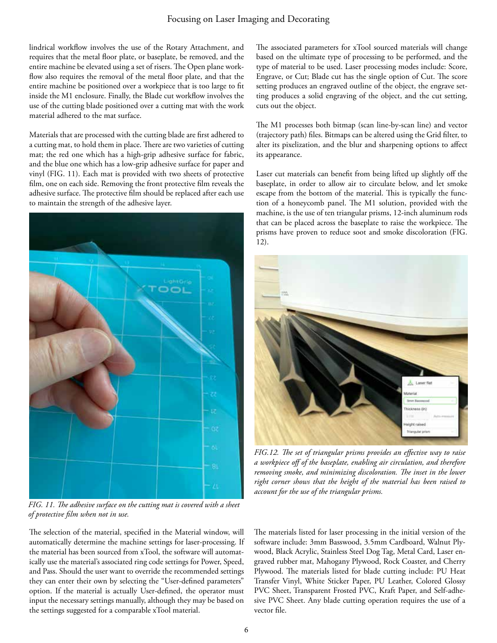### Focusing on Laser Imaging and Decorating

lindrical workflow involves the use of the Rotary Attachment, and requires that the metal floor plate, or baseplate, be removed, and the entire machine be elevated using a set of risers. The Open plane workflow also requires the removal of the metal floor plate, and that the entire machine be positioned over a workpiece that is too large to fit inside the M1 enclosure. Finally, the Blade cut workflow involves the use of the cutting blade positioned over a cutting mat with the work material adhered to the mat surface.

Materials that are processed with the cutting blade are first adhered to a cutting mat, to hold them in place. There are two varieties of cutting mat; the red one which has a high-grip adhesive surface for fabric, and the blue one which has a low-grip adhesive surface for paper and vinyl (FIG. 11). Each mat is provided with two sheets of protective film, one on each side. Removing the front protective film reveals the adhesive surface. The protective film should be replaced after each use to maintain the strength of the adhesive layer.



*FIG. 11. The adhesive surface on the cutting mat is covered with a sheet of protective film when not in use.* 

The selection of the material, specified in the Material window, will automatically determine the machine settings for laser-processing. If the material has been sourced from xTool, the software will automatically use the material's associated ring code settings for Power, Speed, and Pass. Should the user want to override the recommended settings they can enter their own by selecting the "User-defined parameters" option. If the material is actually User-defined, the operator must input the necessary settings manually, although they may be based on the settings suggested for a comparable xTool material.

The associated parameters for xTool sourced materials will change based on the ultimate type of processing to be performed, and the type of material to be used. Laser processing modes include: Score, Engrave, or Cut; Blade cut has the single option of Cut. The score setting produces an engraved outline of the object, the engrave setting produces a solid engraving of the object, and the cut setting, cuts out the object.

The M1 processes both bitmap (scan line-by-scan line) and vector (trajectory path) files. Bitmaps can be altered using the Grid filter, to alter its pixelization, and the blur and sharpening options to affect its appearance.

Laser cut materials can benefit from being lifted up slightly off the baseplate, in order to allow air to circulate below, and let smoke escape from the bottom of the material. This is typically the function of a honeycomb panel. The M1 solution, provided with the machine, is the use of ten triangular prisms, 12-inch aluminum rods that can be placed across the baseplate to raise the workpiece. The prisms have proven to reduce soot and smoke discoloration (FIG. 12).



*FIG.12. The set of triangular prisms provides an effective way to raise a workpiece off of the baseplate, enabling air circulation, and therefore removing smoke, and minimizing discoloration. The inset in the lower right corner shows that the height of the material has been raised to account for the use of the triangular prisms.*

The materials listed for laser processing in the initial version of the software include: 3mm Basswood, 3.5mm Cardboard, Walnut Plywood, Black Acrylic, Stainless Steel Dog Tag, Metal Card, Laser engraved rubber mat, Mahogany Plywood, Rock Coaster, and Cherry Plywood. The materials listed for blade cutting include: PU Heat Transfer Vinyl, White Sticker Paper, PU Leather, Colored Glossy PVC Sheet, Transparent Frosted PVC, Kraft Paper, and Self-adhesive PVC Sheet. Any blade cutting operation requires the use of a vector file.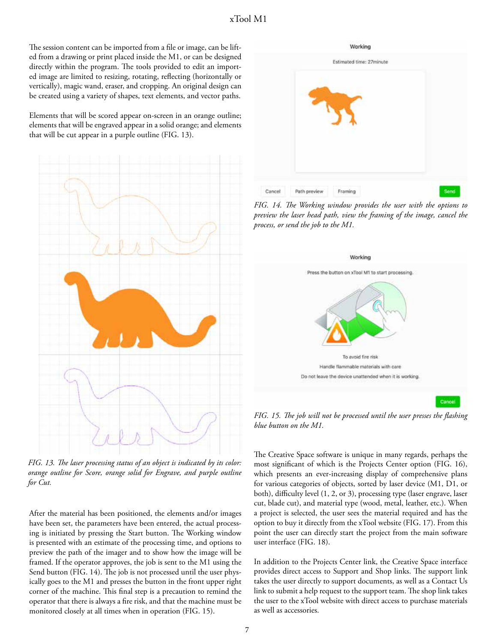The session content can be imported from a file or image, can be lifted from a drawing or print placed inside the M1, or can be designed directly within the program. The tools provided to edit an imported image are limited to resizing, rotating, reflecting (horizontally or vertically), magic wand, eraser, and cropping. An original design can be created using a variety of shapes, text elements, and vector paths.

Elements that will be scored appear on-screen in an orange outline; elements that will be engraved appear in a solid orange; and elements that will be cut appear in a purple outline (FIG. 13).



*FIG. 13. The laser processing status of an object is indicated by its color: orange outline for Score, orange solid for Engrave, and purple outline for Cut.*

After the material has been positioned, the elements and/or images have been set, the parameters have been entered, the actual processing is initiated by pressing the Start button. The Working window is presented with an estimate of the processing time, and options to preview the path of the imager and to show how the image will be framed. If the operator approves, the job is sent to the M1 using the Send button (FIG. 14). The job is not processed until the user physically goes to the M1 and presses the button in the front upper right corner of the machine. This final step is a precaution to remind the operator that there is always a fire risk, and that the machine must be monitored closely at all times when in operation (FIG. 15).



*FIG. 14. The Working window provides the user with the options to preview the laser head path, view the framing of the image, cancel the process, or send the job to the M1.*



*FIG. 15. The job will not be processed until the user presses the flashing blue button on the M1.*

The Creative Space software is unique in many regards, perhaps the most significant of which is the Projects Center option (FIG. 16), which presents an ever-increasing display of comprehensive plans for various categories of objects, sorted by laser device (M1, D1, or both), difficulty level (1, 2, or 3), processing type (laser engrave, laser cut, blade cut), and material type (wood, metal, leather, etc.). When a project is selected, the user sees the material required and has the option to buy it directly from the xTool website (FIG. 17). From this point the user can directly start the project from the main software user interface (FIG. 18).

In addition to the Projects Center link, the Creative Space interface provides direct access to Support and Shop links. The support link takes the user directly to support documents, as well as a Contact Us link to submit a help request to the support team. The shop link takes the user to the xTool website with direct access to purchase materials as well as accessories.